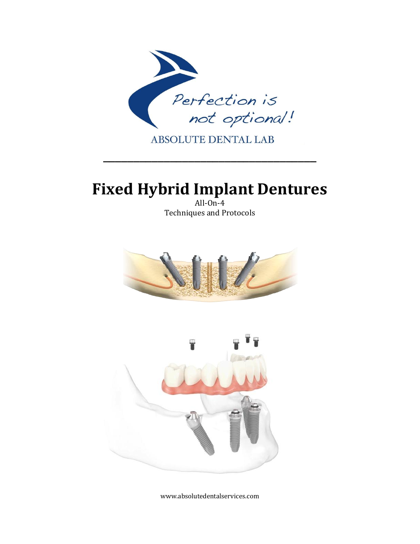

# **Fixed Hybrid Implant Dentures**

All- $On-4$ Techniques and Protocols





www.absolutedentalservices.com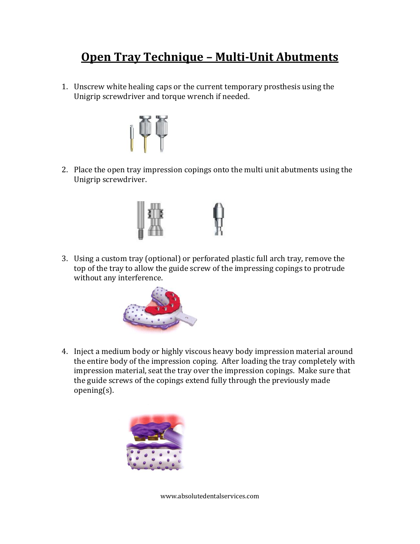### **Open Tray Technique – Multi-Unit Abutments**

1. Unscrew white healing caps or the current temporary prosthesis using the Unigrip screwdriver and torque wrench if needed.



2. Place the open tray impression copings onto the multi unit abutments using the Unigrip screwdriver.



3. Using a custom tray (optional) or perforated plastic full arch tray, remove the top of the tray to allow the guide screw of the impressing copings to protrude without any interference.



4. Inject a medium body or highly viscous heavy body impression material around the entire body of the impression coping. After loading the tray completely with impression material, seat the tray over the impression copings. Make sure that the guide screws of the copings extend fully through the previously made opening(s).



www.absolutedentalservices.com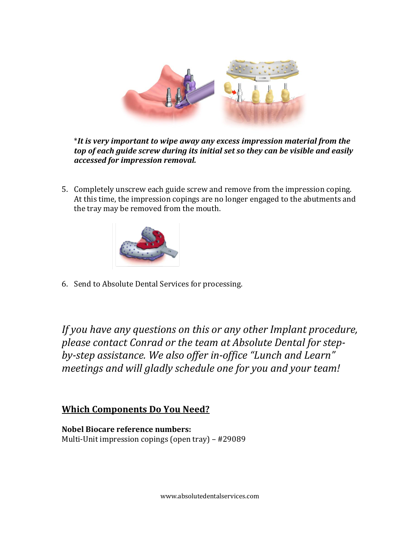

\**It is very important to wipe away any excess impression material from the top of each guide screw during its initial set so they can be visible and easily accessed for impression removal.*

5. Completely unscrew each guide screw and remove from the impression coping. At this time, the impression copings are no longer engaged to the abutments and the tray may be removed from the mouth.



6. Send to Absolute Dental Services for processing.

*If you have any questions on this or any other Implant procedure, please contact Conrad or the team at Absolute Dental for stepby-step assistance. We also offer in-office "Lunch and Learn" meetings and will gladly schedule one for you and your team!* 

#### **Which Components Do You Need?**

**Nobel Biocare reference numbers:** Multi-Unit impression copings (open tray) – #29089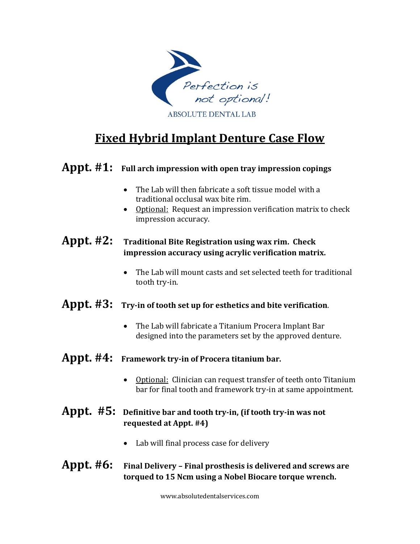

## **Fixed Hybrid Implant Denture Case Flow**

#### **Appt. #1: Full arch impression with open tray impression copings**

- The Lab will then fabricate a soft tissue model with a traditional occlusal wax bite rim.
- Optional: Request an impression verification matrix to check impression accuracy.

#### **Appt. #2: Traditional Bite Registration using wax rim. Check impression accuracy using acrylic verification matrix.**

 The Lab will mount casts and set selected teeth for traditional tooth try-in.

### **Appt. #3: Try-in of tooth set up for esthetics and bite verification**.

 The Lab will fabricate a Titanium Procera Implant Bar designed into the parameters set by the approved denture.

#### **Appt. #4: Framework try-in of Procera titanium bar.**

• Optional: Clinician can request transfer of teeth onto Titanium bar for final tooth and framework try-in at same appointment.

#### **Appt. #5: Definitive bar and tooth try-in, (if tooth try-in was not requested at Appt. #4)**

Lab will final process case for delivery

#### **Appt. #6: Final Delivery – Final prosthesis is delivered and screws are torqued to 15 Ncm using a Nobel Biocare torque wrench.**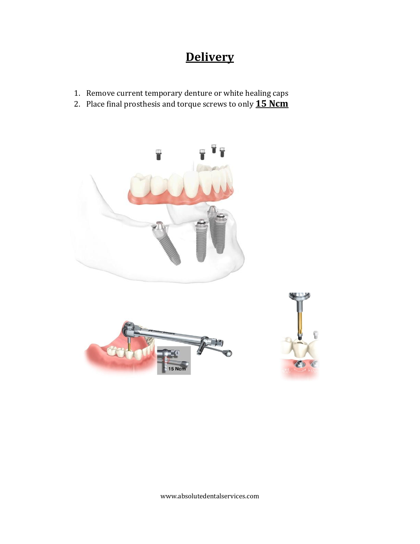## **Delivery**

- 1. Remove current temporary denture or white healing caps
- 2. Place final prosthesis and torque screws to only **15 Ncm**







www.absolutedentalservices.com